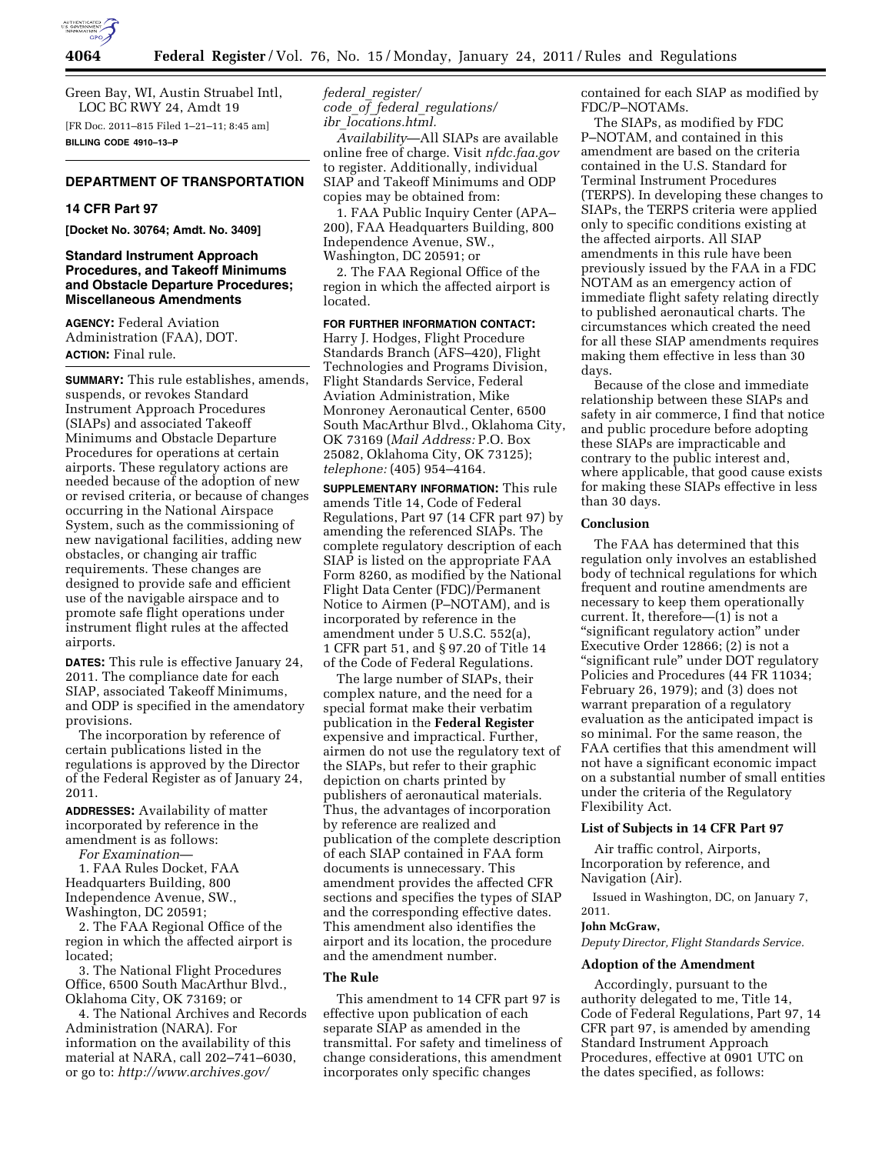

Green Bay, WI, Austin Struabel Intl, LOC BC RWY 24, Amdt 19 [FR Doc. 2011–815 Filed 1–21–11; 8:45 am]

**BILLING CODE 4910–13–P** 

# **DEPARTMENT OF TRANSPORTATION**

#### **14 CFR Part 97**

**[Docket No. 30764; Amdt. No. 3409]** 

# **Standard Instrument Approach Procedures, and Takeoff Minimums and Obstacle Departure Procedures; Miscellaneous Amendments**

**AGENCY:** Federal Aviation Administration (FAA), DOT. **ACTION:** Final rule.

**SUMMARY:** This rule establishes, amends, suspends, or revokes Standard Instrument Approach Procedures (SIAPs) and associated Takeoff Minimums and Obstacle Departure Procedures for operations at certain airports. These regulatory actions are needed because of the adoption of new or revised criteria, or because of changes occurring in the National Airspace System, such as the commissioning of new navigational facilities, adding new obstacles, or changing air traffic requirements. These changes are designed to provide safe and efficient use of the navigable airspace and to promote safe flight operations under instrument flight rules at the affected airports.

**DATES:** This rule is effective January 24, 2011. The compliance date for each SIAP, associated Takeoff Minimums, and ODP is specified in the amendatory provisions.

The incorporation by reference of certain publications listed in the regulations is approved by the Director of the Federal Register as of January 24, 2011.

**ADDRESSES:** Availability of matter incorporated by reference in the amendment is as follows:

*For Examination*—

1. FAA Rules Docket, FAA Headquarters Building, 800 Independence Avenue, SW., Washington, DC 20591;

2. The FAA Regional Office of the region in which the affected airport is located;

3. The National Flight Procedures Office, 6500 South MacArthur Blvd., Oklahoma City, OK 73169; or

4. The National Archives and Records Administration (NARA). For information on the availability of this material at NARA, call 202–741–6030, or go to: *[http://www.archives.gov/](http://www.archives.gov/federal_register/code_of_federal_regulations/ibr_locations.html)* 

*federal*\_*register/ code*\_*of*\_*federal*\_*regulations/ ibr*\_*[locations.html.](http://www.archives.gov/federal_register/code_of_federal_regulations/ibr_locations.html)* 

*Availability*—All SIAPs are available online free of charge. Visit *nfdc.faa.gov*  to register. Additionally, individual SIAP and Takeoff Minimums and ODP copies may be obtained from:

1. FAA Public Inquiry Center (APA– 200), FAA Headquarters Building, 800 Independence Avenue, SW., Washington, DC 20591; or

2. The FAA Regional Office of the region in which the affected airport is located.

# **FOR FURTHER INFORMATION CONTACT:**

Harry J. Hodges, Flight Procedure Standards Branch (AFS–420), Flight Technologies and Programs Division, Flight Standards Service, Federal Aviation Administration, Mike Monroney Aeronautical Center, 6500 South MacArthur Blvd., Oklahoma City, OK 73169 (*Mail Address:* P.O. Box 25082, Oklahoma City, OK 73125); *telephone:* (405) 954–4164.

**SUPPLEMENTARY INFORMATION:** This rule amends Title 14, Code of Federal Regulations, Part 97 (14 CFR part 97) by amending the referenced SIAPs. The complete regulatory description of each SIAP is listed on the appropriate FAA Form 8260, as modified by the National Flight Data Center (FDC)/Permanent Notice to Airmen (P–NOTAM), and is incorporated by reference in the amendment under 5 U.S.C. 552(a), 1 CFR part 51, and § 97.20 of Title 14 of the Code of Federal Regulations.

The large number of SIAPs, their complex nature, and the need for a special format make their verbatim publication in the **Federal Register**  expensive and impractical. Further, airmen do not use the regulatory text of the SIAPs, but refer to their graphic depiction on charts printed by publishers of aeronautical materials. Thus, the advantages of incorporation by reference are realized and publication of the complete description of each SIAP contained in FAA form documents is unnecessary. This amendment provides the affected CFR sections and specifies the types of SIAP and the corresponding effective dates. This amendment also identifies the airport and its location, the procedure and the amendment number.

#### **The Rule**

This amendment to 14 CFR part 97 is effective upon publication of each separate SIAP as amended in the transmittal. For safety and timeliness of change considerations, this amendment incorporates only specific changes

contained for each SIAP as modified by FDC/P–NOTAMs.

The SIAPs, as modified by FDC P–NOTAM, and contained in this amendment are based on the criteria contained in the U.S. Standard for Terminal Instrument Procedures (TERPS). In developing these changes to SIAPs, the TERPS criteria were applied only to specific conditions existing at the affected airports. All SIAP amendments in this rule have been previously issued by the FAA in a FDC NOTAM as an emergency action of immediate flight safety relating directly to published aeronautical charts. The circumstances which created the need for all these SIAP amendments requires making them effective in less than 30 days.

Because of the close and immediate relationship between these SIAPs and safety in air commerce, I find that notice and public procedure before adopting these SIAPs are impracticable and contrary to the public interest and, where applicable, that good cause exists for making these SIAPs effective in less than 30 days.

#### **Conclusion**

The FAA has determined that this regulation only involves an established body of technical regulations for which frequent and routine amendments are necessary to keep them operationally current. It, therefore—(1) is not a ''significant regulatory action'' under Executive Order 12866; (2) is not a ''significant rule'' under DOT regulatory Policies and Procedures (44 FR 11034; February 26, 1979); and (3) does not warrant preparation of a regulatory evaluation as the anticipated impact is so minimal. For the same reason, the FAA certifies that this amendment will not have a significant economic impact on a substantial number of small entities under the criteria of the Regulatory Flexibility Act.

#### **List of Subjects in 14 CFR Part 97**

Air traffic control, Airports, Incorporation by reference, and Navigation (Air).

Issued in Washington, DC, on January 7, 2011.

# **John McGraw,**

*Deputy Director, Flight Standards Service.* 

#### **Adoption of the Amendment**

Accordingly, pursuant to the authority delegated to me, Title 14, Code of Federal Regulations, Part 97, 14 CFR part 97, is amended by amending Standard Instrument Approach Procedures, effective at 0901 UTC on the dates specified, as follows: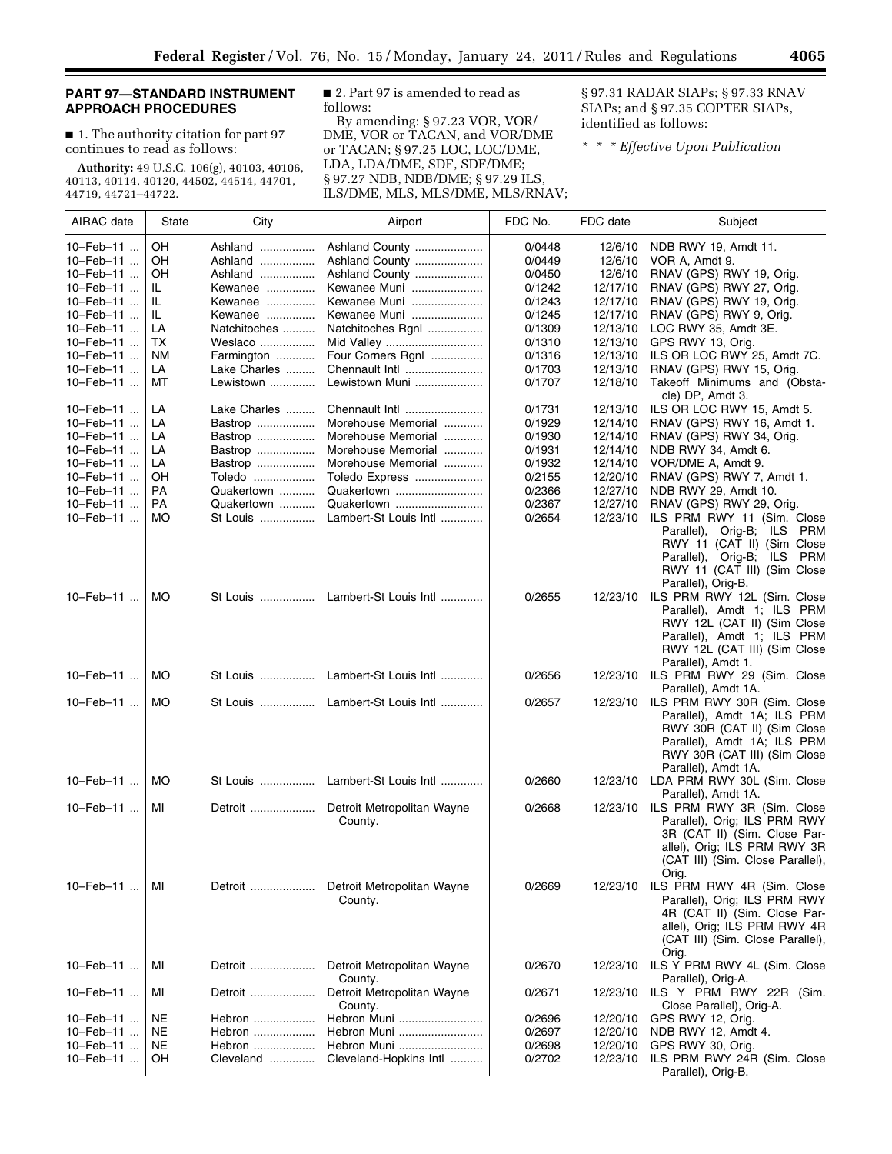# **PART 97—STANDARD INSTRUMENT APPROACH PROCEDURES**

■ 1. The authority citation for part 97 continues to read as follows:

**Authority:** 49 U.S.C. 106(g), 40103, 40106, 40113, 40114, 40120, 44502, 44514, 44701, 44719, 44721–44722.

■ 2. Part 97 is amended to read as follows:

By amending: § 97.23 VOR, VOR/ DME, VOR or TACAN, and VOR/DME or TACAN; § 97.25 LOC, LOC/DME, LDA, LDA/DME, SDF, SDF/DME; § 97.27 NDB, NDB/DME; § 97.29 ILS, ILS/DME, MLS, MLS/DME, MLS/RNAV;

§ 97.31 RADAR SIAPs; § 97.33 RNAV SIAPs; and § 97.35 COPTER SIAPs, identified as follows:

*\* \* \* Effective Upon Publication* 

| AIRAC date | State     | City         | Airport                               | FDC No. | FDC date | Subject                                                                                                                                                                                |
|------------|-----------|--------------|---------------------------------------|---------|----------|----------------------------------------------------------------------------------------------------------------------------------------------------------------------------------------|
| 10-Feb-11  | OН        | Ashland      | Ashland County                        | 0/0448  | 12/6/10  | NDB RWY 19, Amdt 11.                                                                                                                                                                   |
| 10-Feb-11  | OH        | Ashland      | Ashland County                        | 0/0449  | 12/6/10  | VOR A, Amdt 9.                                                                                                                                                                         |
| 10-Feb-11  | OΗ        | Ashland      | Ashland County                        | 0/0450  | 12/6/10  | RNAV (GPS) RWY 19, Orig.                                                                                                                                                               |
| 10-Feb-11  | IL.       | Kewanee      | Kewanee Muni                          | 0/1242  | 12/17/10 | RNAV (GPS) RWY 27, Orig.                                                                                                                                                               |
| 10-Feb-11  | IL.       | Kewanee      | Kewanee Muni                          | 0/1243  | 12/17/10 | RNAV (GPS) RWY 19, Orig.                                                                                                                                                               |
| 10-Feb-11  | IL.       | Kewanee      | Kewanee Muni                          | 0/1245  | 12/17/10 | RNAV (GPS) RWY 9, Orig.                                                                                                                                                                |
| 10-Feb-11  | LA        | Natchitoches | Natchitoches Rgnl                     | 0/1309  | 12/13/10 | LOC RWY 35, Amdt 3E.                                                                                                                                                                   |
| 10-Feb-11  | ТX        | Weslaco      | Mid Valley                            | 0/1310  | 12/13/10 | GPS RWY 13, Orig.                                                                                                                                                                      |
| 10-Feb-11  | <b>NM</b> | Farmington   | Four Corners Rgnl                     | 0/1316  | 12/13/10 | ILS OR LOC RWY 25, Amdt 7C.                                                                                                                                                            |
| 10-Feb-11  | LA        | Lake Charles | Chennault Intl                        | 0/1703  | 12/13/10 | RNAV (GPS) RWY 15, Orig.                                                                                                                                                               |
| 10-Feb-11  | МT        | Lewistown    | Lewistown Muni                        | 0/1707  | 12/18/10 | Takeoff Minimums and (Obsta-<br>cle) DP, Amdt 3.                                                                                                                                       |
| 10-Feb-11  | LA        | Lake Charles | Chennault Intl                        | 0/1731  | 12/13/10 | ILS OR LOC RWY 15, Amdt 5.                                                                                                                                                             |
| 10-Feb-11  | LA        | Bastrop      | Morehouse Memorial                    | 0/1929  | 12/14/10 | RNAV (GPS) RWY 16, Amdt 1.                                                                                                                                                             |
| 10-Feb-11  | LA        | Bastrop      | Morehouse Memorial                    | 0/1930  | 12/14/10 | RNAV (GPS) RWY 34, Orig.                                                                                                                                                               |
| 10-Feb-11  | LA        | Bastrop      | Morehouse Memorial                    | 0/1931  | 12/14/10 | NDB RWY 34, Amdt 6.                                                                                                                                                                    |
| 10-Feb-11  | LA        | Bastrop      | Morehouse Memorial                    | 0/1932  | 12/14/10 | VOR/DME A, Amdt 9.                                                                                                                                                                     |
| 10-Feb-11  | OΗ        | Toledo       | Toledo Express                        | 0/2155  | 12/20/10 | RNAV (GPS) RWY 7, Amdt 1.                                                                                                                                                              |
| 10-Feb-11  | <b>PA</b> | Quakertown   | Quakertown                            | 0/2366  | 12/27/10 | NDB RWY 29, Amdt 10.                                                                                                                                                                   |
| 10-Feb-11  | PA        | Quakertown   | Quakertown                            | 0/2367  | 12/27/10 | RNAV (GPS) RWY 29, Orig.                                                                                                                                                               |
| 10-Feb-11  | МO        | St Louis     | Lambert-St Louis Intl                 | 0/2654  | 12/23/10 | ILS PRM RWY 11 (Sim. Close<br><b>PRM</b><br>Parallel), Orig-B; ILS<br>RWY 11 (CAT II) (Sim Close<br>Parallel), Orig-B; ILS<br>PRM<br>RWY 11 (CAT III) (Sim Close<br>Parallel), Orig-B. |
| 10-Feb-11  | <b>MO</b> | St Louis     | Lambert-St Louis Intl                 | 0/2655  | 12/23/10 | ILS PRM RWY 12L (Sim. Close<br>Parallel), Amdt 1; ILS PRM<br>RWY 12L (CAT II) (Sim Close<br>Parallel), Amdt 1; ILS PRM<br>RWY 12L (CAT III) (Sim Close<br>Parallel), Amdt 1.           |
| 10-Feb-11  | МO        | St Louis     | Lambert-St Louis Intl                 | 0/2656  | 12/23/10 | ILS PRM RWY 29 (Sim. Close<br>Parallel), Amdt 1A.                                                                                                                                      |
| 10-Feb-11  | <b>MO</b> | St Louis     | Lambert-St Louis Intl                 | 0/2657  | 12/23/10 | ILS PRM RWY 30R (Sim. Close<br>Parallel), Amdt 1A; ILS PRM<br>RWY 30R (CAT II) (Sim Close<br>Parallel), Amdt 1A; ILS PRM<br>RWY 30R (CAT III) (Sim Close<br>Parallel), Amdt 1A.        |
| 10-Feb-11  | МO        | St Louis     | Lambert-St Louis Intl                 | 0/2660  | 12/23/10 | LDA PRM RWY 30L (Sim. Close<br>Parallel), Amdt 1A.                                                                                                                                     |
| 10-Feb-11  | МI        | Detroit      | Detroit Metropolitan Wayne<br>County. | 0/2668  | 12/23/10 | ILS PRM RWY 3R (Sim. Close<br>Parallel), Orig; ILS PRM RWY<br>3R (CAT II) (Sim. Close Par-<br>allel), Orig; ILS PRM RWY 3R<br>(CAT III) (Sim. Close Parallel),<br>Orig.                |
| 10-Feb-11  | МI        | Detroit      | Detroit Metropolitan Wayne<br>County. | 0/2669  | 12/23/10 | ILS PRM RWY 4R (Sim. Close<br>Parallel), Orig; ILS PRM RWY<br>4R (CAT II) (Sim. Close Par-<br>allel), Orig; ILS PRM RWY 4R<br>(CAT III) (Sim. Close Parallel),<br>Orig.                |
| 10-Feb-11  | МI        | Detroit      | Detroit Metropolitan Wayne<br>County. | 0/2670  | 12/23/10 | ILS Y PRM RWY 4L (Sim. Close<br>Parallel), Orig-A.                                                                                                                                     |
| 10-Feb-11  | МI        | Detroit      | Detroit Metropolitan Wayne<br>County. | 0/2671  | 12/23/10 | ILS Y PRM RWY 22R (Sim.<br>Close Parallel), Orig-A.                                                                                                                                    |
| 10-Feb-11  | NE        | Hebron       | Hebron Muni                           | 0/2696  | 12/20/10 | GPS RWY 12, Orig.                                                                                                                                                                      |
| 10-Feb-11  | NE        | Hebron       | Hebron Muni                           | 0/2697  | 12/20/10 | NDB RWY 12, Amdt 4.                                                                                                                                                                    |
| 10-Feb-11  | NE        | Hebron       | Hebron Muni                           | 0/2698  | 12/20/10 | GPS RWY 30, Orig.                                                                                                                                                                      |
| 10-Feb-11  | OН        | Cleveland    | Cleveland-Hopkins Intl                | 0/2702  | 12/23/10 | ILS PRM RWY 24R (Sim. Close<br>Parallel), Orig-B.                                                                                                                                      |

e<br>B